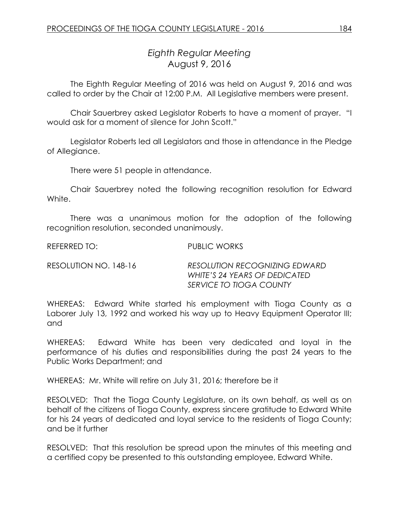# *Eighth Regular Meeting* August 9, 2016

The Eighth Regular Meeting of 2016 was held on August 9, 2016 and was called to order by the Chair at 12:00 P.M. All Legislative members were present.

Chair Sauerbrey asked Legislator Roberts to have a moment of prayer. "I would ask for a moment of silence for John Scott."

Legislator Roberts led all Legislators and those in attendance in the Pledge of Allegiance.

There were 51 people in attendance.

Chair Sauerbrey noted the following recognition resolution for Edward White.

There was a unanimous motion for the adoption of the following recognition resolution, seconded unanimously.

REFERRED TO: PUBLIC WORKS

| RESOLUTION NO. 148-16 | <b>RESOLUTION RECOGNIZING EDWARD</b> |
|-----------------------|--------------------------------------|
|                       | WHITE'S 24 YEARS OF DEDICATED        |
|                       | SERVICE TO TIOGA COUNTY              |

WHEREAS: Edward White started his employment with Tioga County as a Laborer July 13, 1992 and worked his way up to Heavy Equipment Operator III; and

WHEREAS: Edward White has been very dedicated and loyal in the performance of his duties and responsibilities during the past 24 years to the Public Works Department; and

WHEREAS: Mr. White will retire on July 31, 2016; therefore be it

RESOLVED: That the Tioga County Legislature, on its own behalf, as well as on behalf of the citizens of Tioga County, express sincere gratitude to Edward White for his 24 years of dedicated and loyal service to the residents of Tioga County; and be it further

RESOLVED: That this resolution be spread upon the minutes of this meeting and a certified copy be presented to this outstanding employee, Edward White.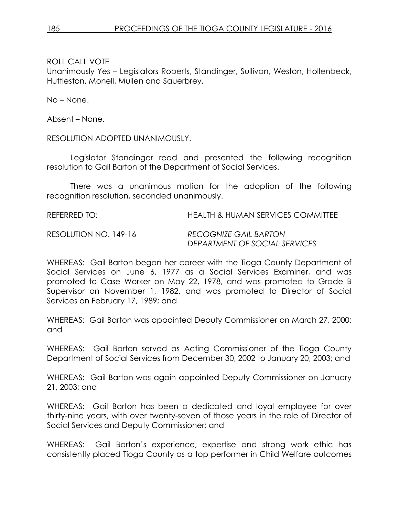Unanimously Yes – Legislators Roberts, Standinger, Sullivan, Weston, Hollenbeck, Huttleston, Monell, Mullen and Sauerbrey.

No – None.

Absent – None.

RESOLUTION ADOPTED UNANIMOUSLY.

Legislator Standinger read and presented the following recognition resolution to Gail Barton of the Department of Social Services.

There was a unanimous motion for the adoption of the following recognition resolution, seconded unanimously.

REFERRED TO: HEALTH & HUMAN SERVICES COMMITTEE

RESOLUTION NO. 149-16 *RECOGNIZE GAIL BARTON*

*DEPARTMENT OF SOCIAL SERVICES*

WHEREAS: Gail Barton began her career with the Tioga County Department of Social Services on June 6, 1977 as a Social Services Examiner, and was promoted to Case Worker on May 22, 1978, and was promoted to Grade B Supervisor on November 1, 1982, and was promoted to Director of Social Services on February 17, 1989; and

WHEREAS: Gail Barton was appointed Deputy Commissioner on March 27, 2000; and

WHEREAS: Gail Barton served as Acting Commissioner of the Tioga County Department of Social Services from December 30, 2002 to January 20, 2003; and

WHEREAS: Gail Barton was again appointed Deputy Commissioner on January 21, 2003; and

WHEREAS: Gail Barton has been a dedicated and loyal employee for over thirty-nine years, with over twenty-seven of those years in the role of Director of Social Services and Deputy Commissioner; and

WHEREAS: Gail Barton's experience, expertise and strong work ethic has consistently placed Tioga County as a top performer in Child Welfare outcomes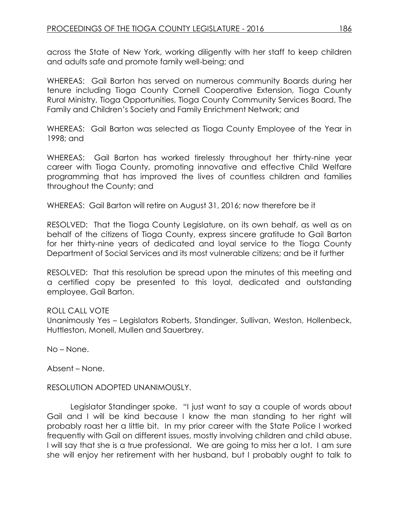across the State of New York, working diligently with her staff to keep children and adults safe and promote family well-being; and

WHEREAS: Gail Barton has served on numerous community Boards during her tenure including Tioga County Cornell Cooperative Extension, Tioga County Rural Ministry, Tioga Opportunities, Tioga County Community Services Board, The Family and Children's Society and Family Enrichment Network; and

WHEREAS: Gail Barton was selected as Tioga County Employee of the Year in 1998; and

WHEREAS: Gail Barton has worked tirelessly throughout her thirty-nine year career with Tioga County, promoting innovative and effective Child Welfare programming that has improved the lives of countless children and families throughout the County; and

WHEREAS: Gail Barton will retire on August 31, 2016; now therefore be it

RESOLVED: That the Tioga County Legislature, on its own behalf, as well as on behalf of the citizens of Tioga County, express sincere gratitude to Gail Barton for her thirty-nine years of dedicated and loyal service to the Tioga County Department of Social Services and its most vulnerable citizens; and be it further

RESOLVED: That this resolution be spread upon the minutes of this meeting and a certified copy be presented to this loyal, dedicated and outstanding employee, Gail Barton.

#### ROLL CALL VOTE

Unanimously Yes – Legislators Roberts, Standinger, Sullivan, Weston, Hollenbeck, Huttleston, Monell, Mullen and Sauerbrey.

No – None.

Absent – None.

#### RESOLUTION ADOPTED UNANIMOUSLY.

Legislator Standinger spoke. "I just want to say a couple of words about Gail and I will be kind because I know the man standing to her right will probably roast her a little bit. In my prior career with the State Police I worked frequently with Gail on different issues, mostly involving children and child abuse. I will say that she is a true professional. We are going to miss her a lot. I am sure she will enjoy her retirement with her husband, but I probably ought to talk to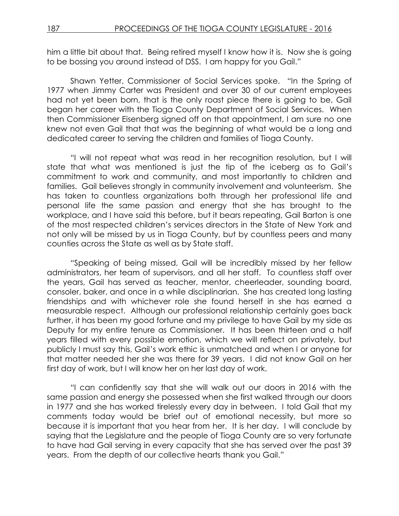him a little bit about that. Being retired myself I know how it is. Now she is going to be bossing you around instead of DSS. I am happy for you Gail."

Shawn Yetter, Commissioner of Social Services spoke. "In the Spring of 1977 when Jimmy Carter was President and over 30 of our current employees had not yet been born, that is the only roast piece there is going to be, Gail began her career with the Tioga County Department of Social Services. When then Commissioner Eisenberg signed off on that appointment, I am sure no one knew not even Gail that that was the beginning of what would be a long and dedicated career to serving the children and families of Tioga County.

"I will not repeat what was read in her recognition resolution, but I will state that what was mentioned is just the tip of the iceberg as to Gail's commitment to work and community, and most importantly to children and families. Gail believes strongly in community involvement and volunteerism. She has taken to countless organizations both through her professional life and personal life the same passion and energy that she has brought to the workplace, and I have said this before, but it bears repeating, Gail Barton is one of the most respected children's services directors in the State of New York and not only will be missed by us in Tioga County, but by countless peers and many counties across the State as well as by State staff.

"Speaking of being missed, Gail will be incredibly missed by her fellow administrators, her team of supervisors, and all her staff. To countless staff over the years, Gail has served as teacher, mentor, cheerleader, sounding board, consoler, baker, and once in a while disciplinarian. She has created long lasting friendships and with whichever role she found herself in she has earned a measurable respect. Although our professional relationship certainly goes back further, it has been my good fortune and my privilege to have Gail by my side as Deputy for my entire tenure as Commissioner. It has been thirteen and a half years filled with every possible emotion, which we will reflect on privately, but publicly I must say this, Gail's work ethic is unmatched and when I or anyone for that matter needed her she was there for 39 years. I did not know Gail on her first day of work, but I will know her on her last day of work.

"I can confidently say that she will walk out our doors in 2016 with the same passion and energy she possessed when she first walked through our doors in 1977 and she has worked tirelessly every day in between. I told Gail that my comments today would be brief out of emotional necessity, but more so because it is important that you hear from her. It is her day. I will conclude by saying that the Legislature and the people of Tioga County are so very fortunate to have had Gail serving in every capacity that she has served over the past 39 years. From the depth of our collective hearts thank you Gail."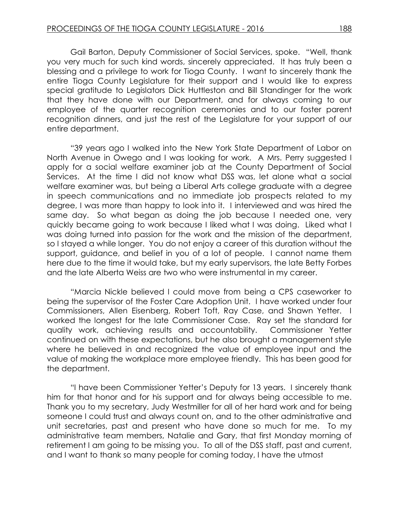Gail Barton, Deputy Commissioner of Social Services, spoke. "Well, thank you very much for such kind words, sincerely appreciated. It has truly been a blessing and a privilege to work for Tioga County. I want to sincerely thank the entire Tioga County Legislature for their support and I would like to express special gratitude to Legislators Dick Huttleston and Bill Standinger for the work that they have done with our Department, and for always coming to our employee of the quarter recognition ceremonies and to our foster parent recognition dinners, and just the rest of the Legislature for your support of our entire department.

"39 years ago I walked into the New York State Department of Labor on North Avenue in Owego and I was looking for work. A Mrs. Perry suggested I apply for a social welfare examiner job at the County Department of Social Services. At the time I did not know what DSS was, let alone what a social welfare examiner was, but being a Liberal Arts college graduate with a degree in speech communications and no immediate job prospects related to my degree, I was more than happy to look into it. I interviewed and was hired the same day. So what began as doing the job because I needed one, very quickly became going to work because I liked what I was doing. Liked what I was doing turned into passion for the work and the mission of the department, so I stayed a while longer. You do not enjoy a career of this duration without the support, guidance, and belief in you of a lot of people. I cannot name them here due to the time it would take, but my early supervisors, the late Betty Forbes and the late Alberta Weiss are two who were instrumental in my career.

"Marcia Nickle believed I could move from being a CPS caseworker to being the supervisor of the Foster Care Adoption Unit. I have worked under four Commissioners, Allen Eisenberg, Robert Toft, Ray Case, and Shawn Yetter. I worked the longest for the late Commissioner Case. Ray set the standard for quality work, achieving results and accountability. Commissioner Yetter continued on with these expectations, but he also brought a management style where he believed in and recognized the value of employee input and the value of making the workplace more employee friendly. This has been good for the department.

"I have been Commissioner Yetter's Deputy for 13 years. I sincerely thank him for that honor and for his support and for always being accessible to me. Thank you to my secretary, Judy Westmiller for all of her hard work and for being someone I could trust and always count on, and to the other administrative and unit secretaries, past and present who have done so much for me. To my administrative team members, Natalie and Gary, that first Monday morning of retirement I am going to be missing you. To all of the DSS staff, past and current, and I want to thank so many people for coming today, I have the utmost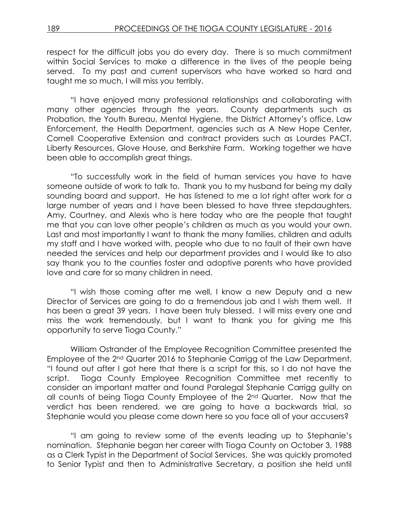respect for the difficult jobs you do every day. There is so much commitment within Social Services to make a difference in the lives of the people being served. To my past and current supervisors who have worked so hard and taught me so much, I will miss you terribly.

"I have enjoyed many professional relationships and collaborating with many other agencies through the years. County departments such as Probation, the Youth Bureau, Mental Hygiene, the District Attorney's office, Law Enforcement, the Health Department, agencies such as A New Hope Center, Cornell Cooperative Extension and contract providers such as Lourdes PACT, Liberty Resources, Glove House, and Berkshire Farm. Working together we have been able to accomplish great things.

"To successfully work in the field of human services you have to have someone outside of work to talk to. Thank you to my husband for being my daily sounding board and support. He has listened to me a lot right after work for a large number of years and I have been blessed to have three stepdaughters, Amy, Courtney, and Alexis who is here today who are the people that taught me that you can love other people's children as much as you would your own. Last and most importantly I want to thank the many families, children and adults my staff and I have worked with, people who due to no fault of their own have needed the services and help our department provides and I would like to also say thank you to the counties foster and adoptive parents who have provided love and care for so many children in need.

"I wish those coming after me well, I know a new Deputy and a new Director of Services are going to do a tremendous job and I wish them well. It has been a great 39 years. I have been truly blessed. I will miss every one and miss the work tremendously, but I want to thank you for giving me this opportunity to serve Tioga County."

William Ostrander of the Employee Recognition Committee presented the Employee of the 2nd Quarter 2016 to Stephanie Carrigg of the Law Department. "I found out after I got here that there is a script for this, so I do not have the script. Tioga County Employee Recognition Committee met recently to consider an important matter and found Paralegal Stephanie Carrigg guilty on all counts of being Tioga County Employee of the 2nd Quarter. Now that the verdict has been rendered, we are going to have a backwards trial, so Stephanie would you please come down here so you face all of your accusers?

"I am going to review some of the events leading up to Stephanie's nomination. Stephanie began her career with Tioga County on October 3, 1988 as a Clerk Typist in the Department of Social Services. She was quickly promoted to Senior Typist and then to Administrative Secretary, a position she held until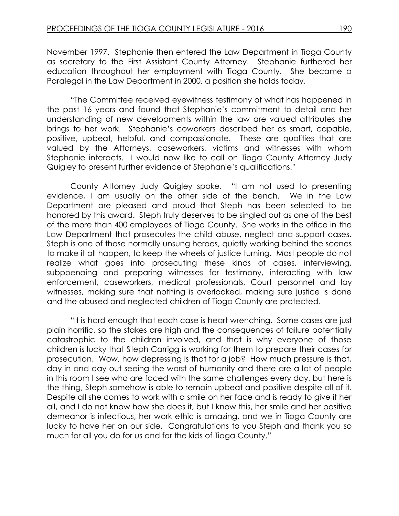November 1997. Stephanie then entered the Law Department in Tioga County as secretary to the First Assistant County Attorney. Stephanie furthered her education throughout her employment with Tioga County. She became a Paralegal in the Law Department in 2000, a position she holds today.

"The Committee received eyewitness testimony of what has happened in the past 16 years and found that Stephanie's commitment to detail and her understanding of new developments within the law are valued attributes she brings to her work. Stephanie's coworkers described her as smart, capable, positive, upbeat, helpful, and compassionate. These are qualities that are valued by the Attorneys, caseworkers, victims and witnesses with whom Stephanie interacts. I would now like to call on Tioga County Attorney Judy Quigley to present further evidence of Stephanie's qualifications."

County Attorney Judy Quigley spoke. "I am not used to presenting evidence, I am usually on the other side of the bench. We in the Law Department are pleased and proud that Steph has been selected to be honored by this award. Steph truly deserves to be singled out as one of the best of the more than 400 employees of Tioga County. She works in the office in the Law Department that prosecutes the child abuse, neglect and support cases. Steph is one of those normally unsung heroes, quietly working behind the scenes to make it all happen, to keep the wheels of justice turning. Most people do not realize what goes into prosecuting these kinds of cases, interviewing, subpoenaing and preparing witnesses for testimony, interacting with law enforcement, caseworkers, medical professionals, Court personnel and lay witnesses, making sure that nothing is overlooked, making sure justice is done and the abused and neglected children of Tioga County are protected.

"It is hard enough that each case is heart wrenching. Some cases are just plain horrific, so the stakes are high and the consequences of failure potentially catastrophic to the children involved, and that is why everyone of those children is lucky that Steph Carrigg is working for them to prepare their cases for prosecution. Wow, how depressing is that for a job? How much pressure is that, day in and day out seeing the worst of humanity and there are a lot of people in this room I see who are faced with the same challenges every day, but here is the thing, Steph somehow is able to remain upbeat and positive despite all of it. Despite all she comes to work with a smile on her face and is ready to give it her all, and I do not know how she does it, but I know this, her smile and her positive demeanor is infectious, her work ethic is amazing, and we in Tioga County are lucky to have her on our side. Congratulations to you Steph and thank you so much for all you do for us and for the kids of Tioga County."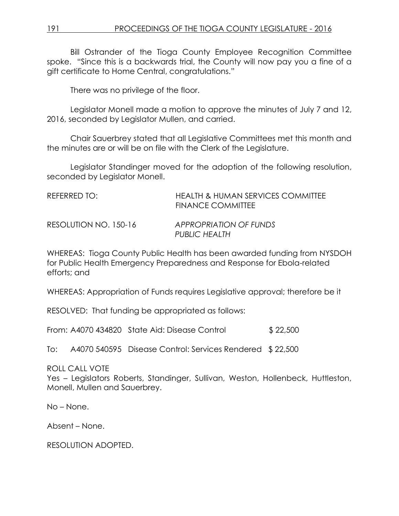Bill Ostrander of the Tioga County Employee Recognition Committee spoke. "Since this is a backwards trial, the County will now pay you a fine of a gift certificate to Home Central, congratulations."

There was no privilege of the floor.

Legislator Monell made a motion to approve the minutes of July 7 and 12, 2016, seconded by Legislator Mullen, and carried.

Chair Sauerbrey stated that all Legislative Committees met this month and the minutes are or will be on file with the Clerk of the Legislature.

Legislator Standinger moved for the adoption of the following resolution, seconded by Legislator Monell.

| REFERRED TO:          | HEALTH & HUMAN SERVICES COMMITTEE<br><b>FINANCE COMMITTEE</b> |
|-----------------------|---------------------------------------------------------------|
| RESOLUTION NO. 150-16 | APPROPRIATION OF FUNDS<br>PUBLIC HEALTH                       |

WHEREAS: Tioga County Public Health has been awarded funding from NYSDOH for Public Health Emergency Preparedness and Response for Ebola-related efforts; and

WHEREAS: Appropriation of Funds requires Legislative approval; therefore be it

RESOLVED: That funding be appropriated as follows:

From: A4070 434820 State Aid: Disease Control \$ 22,500

To: A4070 540595 Disease Control: Services Rendered \$ 22,500

ROLL CALL VOTE

Yes – Legislators Roberts, Standinger, Sullivan, Weston, Hollenbeck, Huttleston, Monell, Mullen and Sauerbrey.

No – None.

Absent – None.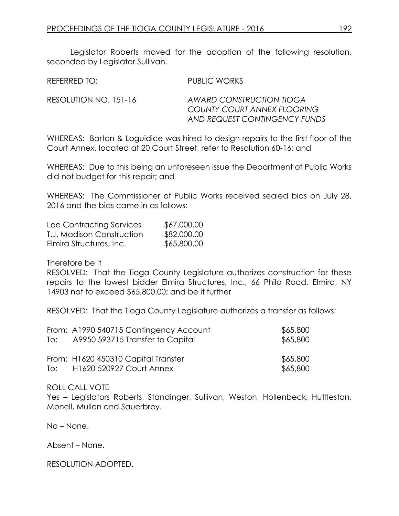Legislator Roberts moved for the adoption of the following resolution, seconded by Legislator Sullivan.

| REFERRED TO:          | PUBLIC WORKS                                                                             |
|-----------------------|------------------------------------------------------------------------------------------|
| RESOLUTION NO. 151-16 | AWARD CONSTRUCTION TIOGA<br>COUNTY COURT ANNEX FLOORING<br>AND REQUEST CONTINGENCY FUNDS |

WHEREAS: Barton & Loguidice was hired to design repairs to the first floor of the Court Annex, located at 20 Court Street, refer to Resolution 60-16; and

WHEREAS: Due to this being an unforeseen issue the Department of Public Works did not budget for this repair; and

WHEREAS: The Commissioner of Public Works received sealed bids on July 28, 2016 and the bids came in as follows:

| Lee Contracting Services  | \$67,000.00 |
|---------------------------|-------------|
| T.J. Madison Construction | \$82,000.00 |
| Elmira Structures, Inc.   | \$65,800.00 |

Therefore be it

RESOLVED: That the Tioga County Legislature authorizes construction for these repairs to the lowest bidder Elmira Structures, Inc., 66 Philo Road, Elmira, NY 14903 not to exceed \$65,800.00; and be it further

RESOLVED: That the Tioga County Legislature authorizes a transfer as follows:

|     | From: A1990 540715 Contingency Account                          | \$65,800             |
|-----|-----------------------------------------------------------------|----------------------|
| To: | A9950 593715 Transfer to Capital                                | \$65,800             |
| To: | From: H1620 450310 Capital Transfer<br>H1620 520927 Court Annex | \$65,800<br>\$65,800 |

ROLL CALL VOTE

Yes – Legislators Roberts, Standinger, Sullivan, Weston, Hollenbeck, Huttleston, Monell, Mullen and Sauerbrey.

No – None.

Absent – None.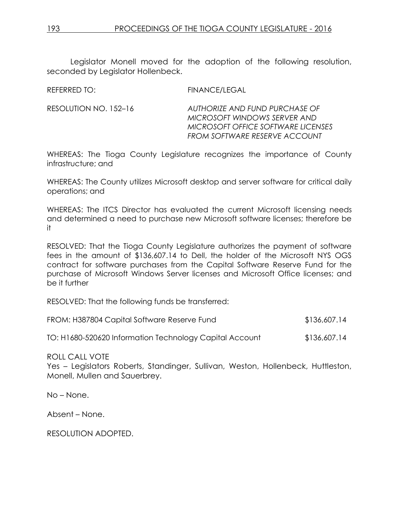Legislator Monell moved for the adoption of the following resolution, seconded by Legislator Hollenbeck.

| REFERRED TO: | <b>FINANCE/LEGAL</b> |
|--------------|----------------------|
|              |                      |

RESOLUTION NO. 152–16 *AUTHORIZE AND FUND PURCHASE OF MICROSOFT WINDOWS SERVER AND MICROSOFT OFFICE SOFTWARE LICENSES FROM SOFTWARE RESERVE ACCOUNT*

WHEREAS: The Tioga County Legislature recognizes the importance of County infrastructure; and

WHEREAS: The County utilizes Microsoft desktop and server software for critical daily operations; and

WHEREAS: The ITCS Director has evaluated the current Microsoft licensing needs and determined a need to purchase new Microsoft software licenses; therefore be it

RESOLVED: That the Tioga County Legislature authorizes the payment of software fees in the amount of \$136,607.14 to Dell, the holder of the Microsoft NYS OGS contract for software purchases from the Capital Software Reserve Fund for the purchase of Microsoft Windows Server licenses and Microsoft Office licenses; and be it further

RESOLVED: That the following funds be transferred:

| FROM: H387804 Capital Software Reserve Fund             | \$136,607.14 |
|---------------------------------------------------------|--------------|
| TO: H1680-520620 Information Technology Capital Account | \$136,607.14 |

ROLL CALL VOTE

Yes – Legislators Roberts, Standinger, Sullivan, Weston, Hollenbeck, Huttleston, Monell, Mullen and Sauerbrey.

No – None.

Absent – None.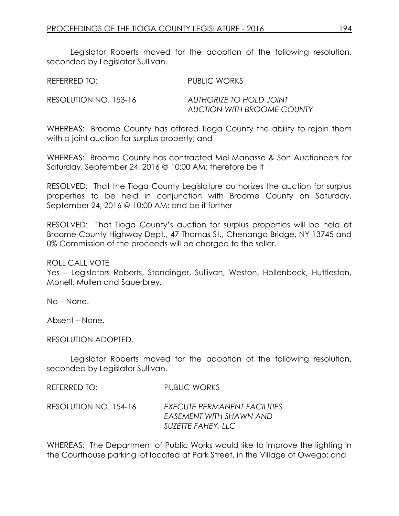Legislator Roberts moved for the adoption of the following resolution, seconded by Legislator Sullivan.

REFERRED TO: PUBLIC WORKS

RESOLUTION NO. 153-16 *AUTHORIZE TO HOLD JOINT AUCTION WITH BROOME COUNTY*

WHEREAS: Broome County has offered Tioga County the ability to rejoin them with a joint auction for surplus property; and

WHEREAS: Broome County has contracted Mel Manasse & Son Auctioneers for Saturday, September 24, 2016 @ 10:00 AM; therefore be it

RESOLVED: That the Tioga County Legislature authorizes the auction for surplus properties to be held in conjunction with Broome County on Saturday, September 24, 2016 @ 10:00 AM; and be it further

RESOLVED: That Tioga County's auction for surplus properties will be held at Broome County Highway Dept., 47 Thomas St., Chenango Bridge, NY 13745 and 0% Commission of the proceeds will be charged to the seller.

ROLL CALL VOTE

Yes – Legislators Roberts, Standinger, Sullivan, Weston, Hollenbeck, Huttleston, Monell, Mullen and Sauerbrey.

No – None.

Absent – None.

RESOLUTION ADOPTED.

Legislator Roberts moved for the adoption of the following resolution, seconded by Legislator Sullivan.

| REFERRED TO:          | PUBLIC WORKS                                                                  |
|-----------------------|-------------------------------------------------------------------------------|
| RESOLUTION NO. 154-16 | EXECUTE PERMANENT FACILITIES<br>EASEMENT WITH SHAWN AND<br>SUZETTE FAHEY, LLC |

WHEREAS: The Department of Public Works would like to improve the lighting in the Courthouse parking lot located at Park Street, in the Village of Owego; and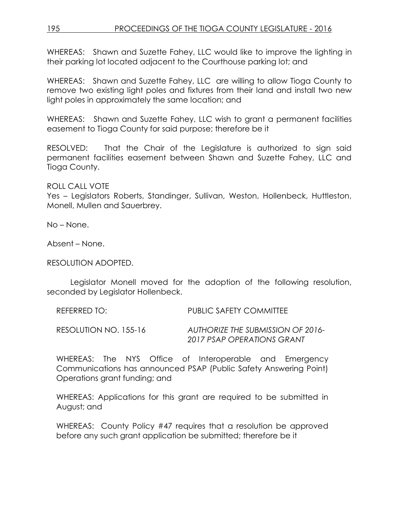WHEREAS: Shawn and Suzette Fahey, LLC would like to improve the lighting in their parking lot located adjacent to the Courthouse parking lot; and

WHEREAS: Shawn and Suzette Fahey, LLC are willing to allow Tioga County to remove two existing light poles and fixtures from their land and install two new light poles in approximately the same location; and

WHEREAS: Shawn and Suzette Fahey, LLC wish to grant a permanent facilities easement to Tioga County for said purpose; therefore be it

RESOLVED: That the Chair of the Legislature is authorized to sign said permanent facilities easement between Shawn and Suzette Fahey, LLC and Tioga County.

ROLL CALL VOTE

Yes – Legislators Roberts, Standinger, Sullivan, Weston, Hollenbeck, Huttleston, Monell, Mullen and Sauerbrey.

No – None.

Absent – None.

#### RESOLUTION ADOPTED.

Legislator Monell moved for the adoption of the following resolution, seconded by Legislator Hollenbeck.

| REFERRED TO:          | PUBLIC SAFETY COMMITTEE                  |
|-----------------------|------------------------------------------|
| RESOLUTION NO. 155-16 | <b>AUTHORIZE THE SUBMISSION OF 2016-</b> |
|                       | 2017 PSAP OPERATIONS GRANT               |

WHEREAS: The NYS Office of Interoperable and Emergency Communications has announced PSAP (Public Safety Answering Point) Operations grant funding; and

WHEREAS: Applications for this grant are required to be submitted in August; and

WHEREAS: County Policy #47 requires that a resolution be approved before any such grant application be submitted; therefore be it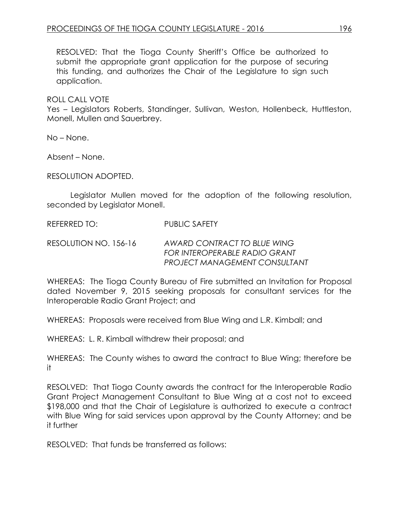RESOLVED: That the Tioga County Sheriff's Office be authorized to submit the appropriate grant application for the purpose of securing this funding, and authorizes the Chair of the Legislature to sign such application.

ROLL CALL VOTE

Yes – Legislators Roberts, Standinger, Sullivan, Weston, Hollenbeck, Huttleston, Monell, Mullen and Sauerbrey.

No – None.

Absent – None.

RESOLUTION ADOPTED.

Legislator Mullen moved for the adoption of the following resolution, seconded by Legislator Monell.

REFERRED TO: PUBLIC SAFETY

RESOLUTION NO. 156-16 *AWARD CONTRACT TO BLUE WING FOR INTEROPERABLE RADIO GRANT PROJECT MANAGEMENT CONSULTANT*

WHEREAS: The Tioga County Bureau of Fire submitted an Invitation for Proposal dated November 9, 2015 seeking proposals for consultant services for the Interoperable Radio Grant Project; and

WHEREAS: Proposals were received from Blue Wing and L.R. Kimball; and

WHEREAS: L. R. Kimball withdrew their proposal; and

WHEREAS: The County wishes to award the contract to Blue Wing; therefore be it

RESOLVED: That Tioga County awards the contract for the Interoperable Radio Grant Project Management Consultant to Blue Wing at a cost not to exceed \$198,000 and that the Chair of Legislature is authorized to execute a contract with Blue Wing for said services upon approval by the County Attorney; and be it further

RESOLVED: That funds be transferred as follows: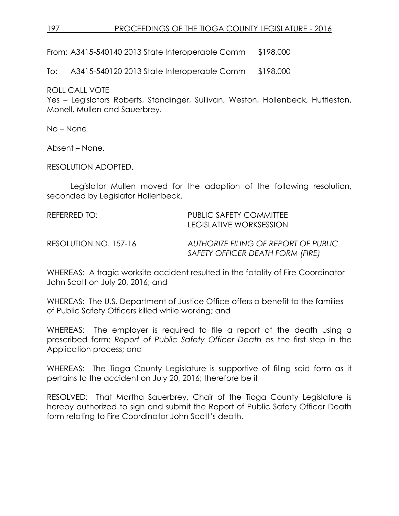## 197 PROCEEDINGS OF THE TIOGA COUNTY LEGISLATURE - 2016

From: A3415-540140 2013 State Interoperable Comm \$198,000

To: A3415-540120 2013 State Interoperable Comm \$198,000

ROLL CALL VOTE

Yes – Legislators Roberts, Standinger, Sullivan, Weston, Hollenbeck, Huttleston, Monell, Mullen and Sauerbrey.

No – None.

Absent – None.

RESOLUTION ADOPTED.

Legislator Mullen moved for the adoption of the following resolution, seconded by Legislator Hollenbeck.

REFERRED TO: PUBLIC SAFETY COMMITTEE LEGISLATIVE WORKSESSION RESOLUTION NO. 157-16 *AUTHORIZE FILING OF REPORT OF PUBLIC SAFETY OFFICER DEATH FORM (FIRE)*

WHEREAS: A tragic worksite accident resulted in the fatality of Fire Coordinator John Scott on July 20, 2016; and

WHEREAS: The U.S. Department of Justice Office offers a benefit to the families of Public Safety Officers killed while working; and

WHEREAS: The employer is required to file a report of the death using a prescribed form: *Report of Public Safety Officer Death* as the first step in the Application process; and

WHEREAS: The Tioga County Legislature is supportive of filing said form as it pertains to the accident on July 20, 2016; therefore be it

RESOLVED: That Martha Sauerbrey, Chair of the Tioga County Legislature is hereby authorized to sign and submit the Report of Public Safety Officer Death form relating to Fire Coordinator John Scott's death.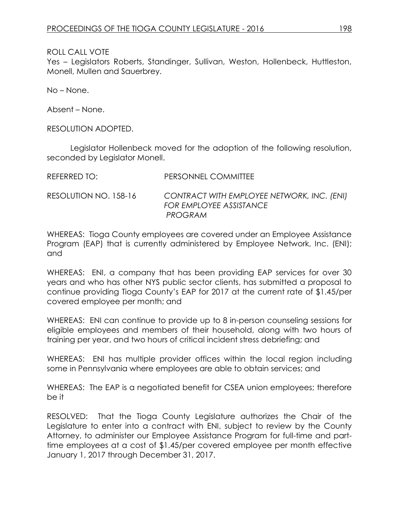Yes – Legislators Roberts, Standinger, Sullivan, Weston, Hollenbeck, Huttleston, Monell, Mullen and Sauerbrey.

No – None.

Absent – None.

RESOLUTION ADOPTED.

Legislator Hollenbeck moved for the adoption of the following resolution, seconded by Legislator Monell.

| REFERRED TO:          | PERSONNEL COMMITTEE                                                              |
|-----------------------|----------------------------------------------------------------------------------|
| RESOLUTION NO. 158-16 | CONTRACT WITH EMPLOYEE NETWORK, INC. (ENI)<br>FOR EMPLOYEE ASSISTANCE<br>PROGRAM |

WHEREAS: Tioga County employees are covered under an Employee Assistance Program (EAP) that is currently administered by Employee Network, Inc. (ENI); and

WHEREAS: ENI, a company that has been providing EAP services for over 30 years and who has other NYS public sector clients, has submitted a proposal to continue providing Tioga County's EAP for 2017 at the current rate of \$1.45/per covered employee per month; and

WHEREAS: ENI can continue to provide up to 8 in-person counseling sessions for eligible employees and members of their household, along with two hours of training per year, and two hours of critical incident stress debriefing; and

WHEREAS: ENI has multiple provider offices within the local region including some in Pennsylvania where employees are able to obtain services; and

WHEREAS: The EAP is a negotiated benefit for CSEA union employees; therefore be it

RESOLVED: That the Tioga County Legislature authorizes the Chair of the Legislature to enter into a contract with ENI, subject to review by the County Attorney, to administer our Employee Assistance Program for full-time and parttime employees at a cost of \$1.45/per covered employee per month effective January 1, 2017 through December 31, 2017.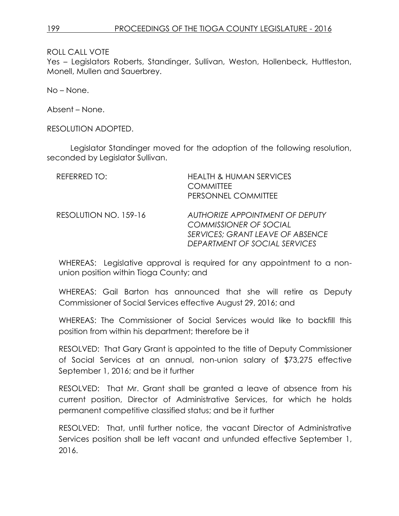Yes – Legislators Roberts, Standinger, Sullivan, Weston, Hollenbeck, Huttleston, Monell, Mullen and Sauerbrey.

No – None.

Absent – None.

RESOLUTION ADOPTED.

Legislator Standinger moved for the adoption of the following resolution, seconded by Legislator Sullivan.

| REFERRED TO:          | <b>HEALTH &amp; HUMAN SERVICES</b><br><b>COMMITTEE</b><br>PERSONNEL COMMITTEE                                                         |
|-----------------------|---------------------------------------------------------------------------------------------------------------------------------------|
| RESOLUTION NO. 159-16 | AUTHORIZE APPOINTMENT OF DEPUTY<br><b>COMMISSIONER OF SOCIAL</b><br>SERVICES; GRANT LEAVE OF ABSENCE<br>DEPARTMENT OF SOCIAL SERVICES |

WHEREAS: Legislative approval is required for any appointment to a nonunion position within Tioga County; and

WHEREAS: Gail Barton has announced that she will retire as Deputy Commissioner of Social Services effective August 29, 2016; and

WHEREAS: The Commissioner of Social Services would like to backfill this position from within his department; therefore be it

RESOLVED: That Gary Grant is appointed to the title of Deputy Commissioner of Social Services at an annual, non-union salary of \$73,275 effective September 1, 2016; and be it further

RESOLVED: That Mr. Grant shall be granted a leave of absence from his current position, Director of Administrative Services, for which he holds permanent competitive classified status; and be it further

RESOLVED: That, until further notice, the vacant Director of Administrative Services position shall be left vacant and unfunded effective September 1, 2016.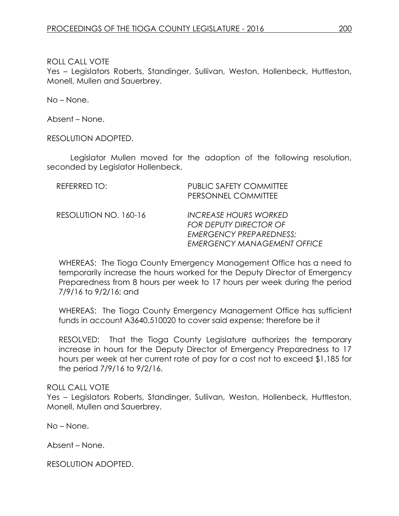Yes – Legislators Roberts, Standinger, Sullivan, Weston, Hollenbeck, Huttleston, Monell, Mullen and Sauerbrey.

No – None.

Absent – None.

RESOLUTION ADOPTED.

Legislator Mullen moved for the adoption of the following resolution, seconded by Legislator Hollenbeck.

| REFERRED TO:          | <b>PUBLIC SAFETY COMMITTEE</b><br>PERSONNEL COMMITTEE                                                                                 |
|-----------------------|---------------------------------------------------------------------------------------------------------------------------------------|
| RESOLUTION NO. 160-16 | <b>INCREASE HOURS WORKED</b><br><b>FOR DEPUTY DIRECTOR OF</b><br><b>EMERGENCY PREPAREDNESS:</b><br><b>EMERGENCY MANAGEMENT OFFICE</b> |

WHEREAS: The Tioga County Emergency Management Office has a need to temporarily increase the hours worked for the Deputy Director of Emergency Preparedness from 8 hours per week to 17 hours per week during the period 7/9/16 to 9/2/16; and

WHEREAS: The Tioga County Emergency Management Office has sufficient funds in account A3640.510020 to cover said expense; therefore be it

RESOLVED: That the Tioga County Legislature authorizes the temporary increase in hours for the Deputy Director of Emergency Preparedness to 17 hours per week at her current rate of pay for a cost not to exceed \$1,185 for the period 7/9/16 to 9/2/16.

## ROLL CALL VOTE

Yes – Legislators Roberts, Standinger, Sullivan, Weston, Hollenbeck, Huttleston, Monell, Mullen and Sauerbrey.

No – None.

Absent – None.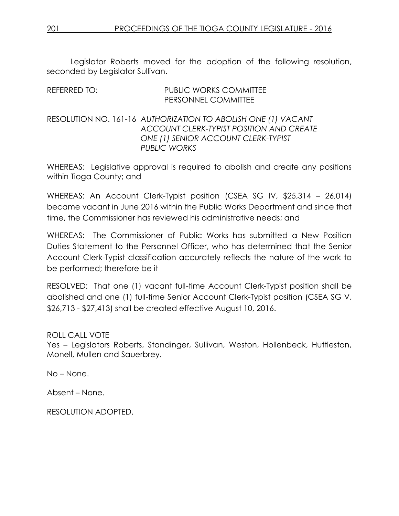Legislator Roberts moved for the adoption of the following resolution, seconded by Legislator Sullivan.

| REFERRED TO: | <b>PUBLIC WORKS COMMITTEE</b>                                 |
|--------------|---------------------------------------------------------------|
|              | PERSONNEL COMMITTEE                                           |
|              |                                                               |
|              | RESOLUTION NO. 161-16 AUTHORIZATION TO ABOLISH ONE (1) VACANT |
|              | ACCOUNT CLERK-TYPIST POSITION AND CREATE                      |
|              | ONE (1) SENIOR ACCOUNT CLERK-TYPIST                           |
|              | <b>PUBLIC WORKS</b>                                           |

WHEREAS: Legislative approval is required to abolish and create any positions within Tioga County; and

WHEREAS: An Account Clerk-Typist position (CSEA SG IV, \$25,314 – 26,014) became vacant in June 2016 within the Public Works Department and since that time, the Commissioner has reviewed his administrative needs; and

WHEREAS: The Commissioner of Public Works has submitted a New Position Duties Statement to the Personnel Officer, who has determined that the Senior Account Clerk-Typist classification accurately reflects the nature of the work to be performed; therefore be it

RESOLVED: That one (1) vacant full-time Account Clerk-Typist position shall be abolished and one (1) full-time Senior Account Clerk-Typist position (CSEA SG V, \$26,713 - \$27,413) shall be created effective August 10, 2016.

ROLL CALL VOTE Yes – Legislators Roberts, Standinger, Sullivan, Weston, Hollenbeck, Huttleston, Monell, Mullen and Sauerbrey.

No – None.

Absent – None.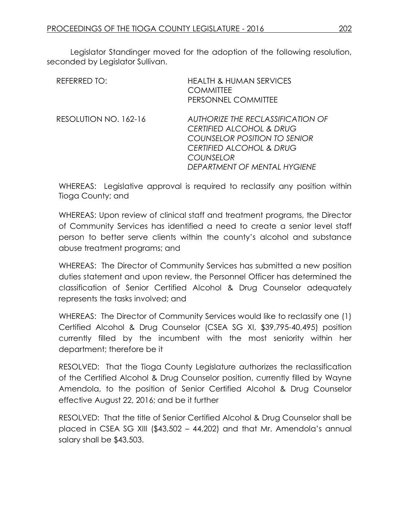Legislator Standinger moved for the adoption of the following resolution, seconded by Legislator Sullivan.

| REFERRED TO:          | <b>HEALTH &amp; HUMAN SERVICES</b><br><b>COMMITTEE</b><br>PERSONNEL COMMITTEE                                                                                                                       |
|-----------------------|-----------------------------------------------------------------------------------------------------------------------------------------------------------------------------------------------------|
| RESOLUTION NO. 162-16 | AUTHORIZE THE RECLASSIFICATION OF<br><b>CERTIFIED ALCOHOL &amp; DRUG</b><br>COUNSELOR POSITION TO SENIOR<br><b>CERTIFIED ALCOHOL &amp; DRUG</b><br><b>COUNSELOR</b><br>DEPARTMENT OF MENTAL HYGIENE |

WHEREAS: Legislative approval is required to reclassify any position within Tioga County; and

WHEREAS: Upon review of clinical staff and treatment programs, the Director of Community Services has identified a need to create a senior level staff person to better serve clients within the county's alcohol and substance abuse treatment programs; and

WHEREAS: The Director of Community Services has submitted a new position duties statement and upon review, the Personnel Officer has determined the classification of Senior Certified Alcohol & Drug Counselor adequately represents the tasks involved; and

WHEREAS: The Director of Community Services would like to reclassify one (1) Certified Alcohol & Drug Counselor (CSEA SG XI, \$39,795-40,495) position currently filled by the incumbent with the most seniority within her department; therefore be it

RESOLVED: That the Tioga County Legislature authorizes the reclassification of the Certified Alcohol & Drug Counselor position, currently filled by Wayne Amendola, to the position of Senior Certified Alcohol & Drug Counselor effective August 22, 2016; and be it further

RESOLVED: That the title of Senior Certified Alcohol & Drug Counselor shall be placed in CSEA SG XIII (\$43,502 – 44,202) and that Mr. Amendola's annual salary shall be \$43,503.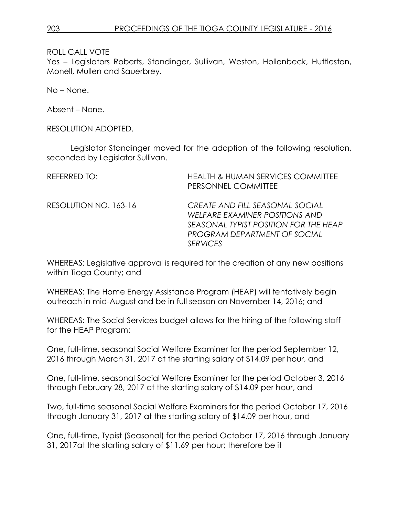Yes – Legislators Roberts, Standinger, Sullivan, Weston, Hollenbeck, Huttleston, Monell, Mullen and Sauerbrey.

No – None.

Absent – None.

RESOLUTION ADOPTED.

Legislator Standinger moved for the adoption of the following resolution, seconded by Legislator Sullivan.

| REFERRED TO:          | <b>HEALTH &amp; HUMAN SERVICES COMMITTEE</b><br>PERSONNEL COMMITTEE                                                                                           |
|-----------------------|---------------------------------------------------------------------------------------------------------------------------------------------------------------|
| RESOLUTION NO. 163-16 | CREATE AND FILL SEASONAL SOCIAL<br>WELFARE EXAMINER POSITIONS AND<br>SEASONAL TYPIST POSITION FOR THE HEAP<br>PROGRAM DEPARTMENT OF SOCIAL<br><b>SFRVICES</b> |

WHEREAS: Legislative approval is required for the creation of any new positions within Tioga County; and

WHEREAS: The Home Energy Assistance Program (HEAP) will tentatively begin outreach in mid-August and be in full season on November 14, 2016; and

WHEREAS: The Social Services budget allows for the hiring of the following staff for the HEAP Program:

One, full-time, seasonal Social Welfare Examiner for the period September 12, 2016 through March 31, 2017 at the starting salary of \$14.09 per hour, and

One, full-time, seasonal Social Welfare Examiner for the period October 3, 2016 through February 28, 2017 at the starting salary of \$14.09 per hour, and

Two, full-time seasonal Social Welfare Examiners for the period October 17, 2016 through January 31, 2017 at the starting salary of \$14.09 per hour, and

One, full-time, Typist (Seasonal) for the period October 17, 2016 through January 31, 2017at the starting salary of \$11.69 per hour; therefore be it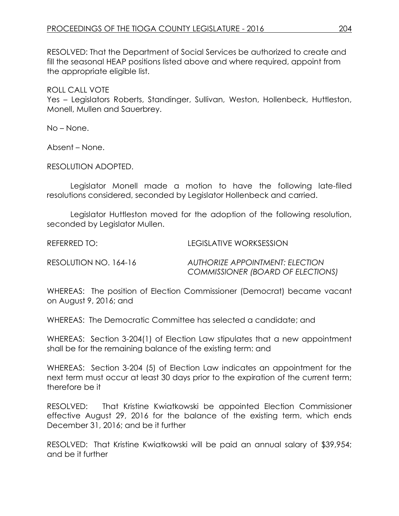RESOLVED: That the Department of Social Services be authorized to create and fill the seasonal HEAP positions listed above and where required, appoint from the appropriate eligible list.

ROLL CALL VOTE

Yes – Legislators Roberts, Standinger, Sullivan, Weston, Hollenbeck, Huttleston, Monell, Mullen and Sauerbrey.

No – None.

Absent – None.

RESOLUTION ADOPTED.

Legislator Monell made a motion to have the following late-filed resolutions considered, seconded by Legislator Hollenbeck and carried.

Legislator Huttleston moved for the adoption of the following resolution, seconded by Legislator Mullen.

REFERRED TO: LEGISLATIVE WORKSESSION

RESOLUTION NO. 164-16 *AUTHORIZE APPOINTMENT: ELECTION COMMISSIONER (BOARD OF ELECTIONS)*

WHEREAS: The position of Election Commissioner (Democrat) became vacant on August 9, 2016; and

WHEREAS: The Democratic Committee has selected a candidate; and

WHEREAS: Section 3-204(1) of Election Law stipulates that a new appointment shall be for the remaining balance of the existing term: and

WHEREAS: Section 3-204 (5) of Election Law indicates an appointment for the next term must occur at least 30 days prior to the expiration of the current term; therefore be it

RESOLVED: That Kristine Kwiatkowski be appointed Election Commissioner effective August 29, 2016 for the balance of the existing term, which ends December 31, 2016; and be it further

RESOLVED: That Kristine Kwiatkowski will be paid an annual salary of \$39,954; and be it further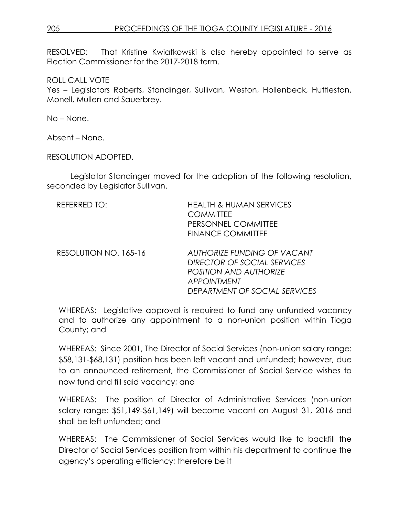## 205 PROCEEDINGS OF THE TIOGA COUNTY LEGISLATURE - 2016

RESOLVED: That Kristine Kwiatkowski is also hereby appointed to serve as Election Commissioner for the 2017-2018 term.

ROLL CALL VOTE

Yes – Legislators Roberts, Standinger, Sullivan, Weston, Hollenbeck, Huttleston, Monell, Mullen and Sauerbrey.

No – None.

Absent – None.

RESOLUTION ADOPTED.

Legislator Standinger moved for the adoption of the following resolution, seconded by Legislator Sullivan.

| REFERRED TO:          | <b>HEALTH &amp; HUMAN SERVICES</b><br><b>COMMITTEE</b><br>PERSONNEL COMMITTEE<br><b>FINANCE COMMITTEE</b>                                                 |
|-----------------------|-----------------------------------------------------------------------------------------------------------------------------------------------------------|
| RESOLUTION NO. 165-16 | <b>AUTHORIZE FUNDING OF VACANT</b><br>DIRECTOR OF SOCIAL SERVICES<br><b>POSITION AND AUTHORIZE</b><br><b>APPOINTMENT</b><br>DEPARTMENT OF SOCIAL SERVICES |

WHEREAS: Legislative approval is required to fund any unfunded vacancy and to authorize any appointment to a non-union position within Tioga County; and

WHEREAS: Since 2001, The Director of Social Services (non-union salary range: \$58,131-\$68,131) position has been left vacant and unfunded; however, due to an announced retirement, the Commissioner of Social Service wishes to now fund and fill said vacancy; and

WHEREAS: The position of Director of Administrative Services (non-union salary range: \$51,149-\$61,149) will become vacant on August 31, 2016 and shall be left unfunded; and

WHEREAS: The Commissioner of Social Services would like to backfill the Director of Social Services position from within his department to continue the agency's operating efficiency; therefore be it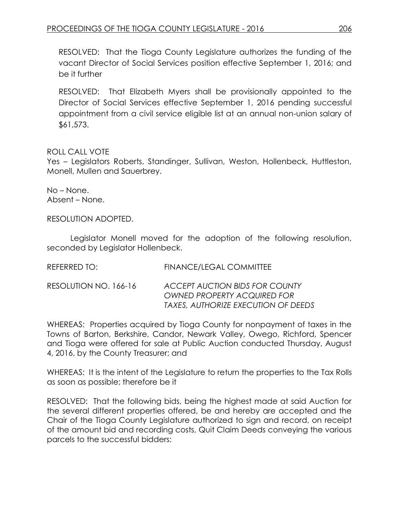RESOLVED: That the Tioga County Legislature authorizes the funding of the vacant Director of Social Services position effective September 1, 2016; and be it further

RESOLVED: That Elizabeth Myers shall be provisionally appointed to the Director of Social Services effective September 1, 2016 pending successful appointment from a civil service eligible list at an annual non-union salary of \$61,573.

### ROLL CALL VOTE

Yes – Legislators Roberts, Standinger, Sullivan, Weston, Hollenbeck, Huttleston, Monell, Mullen and Sauerbrey.

No – None. Absent – None.

RESOLUTION ADOPTED.

Legislator Monell moved for the adoption of the following resolution, seconded by Legislator Hollenbeck.

| REFERRED TO:          | <b>FINANCE/LEGAL COMMITTEE</b>                                                                                     |
|-----------------------|--------------------------------------------------------------------------------------------------------------------|
| RESOLUTION NO. 166-16 | <b>ACCEPT AUCTION BIDS FOR COUNTY</b><br><b>OWNED PROPERTY ACQUIRED FOR</b><br>TAXES, AUTHORIZE EXECUTION OF DEEDS |

WHEREAS: Properties acquired by Tioga County for nonpayment of taxes in the Towns of Barton, Berkshire, Candor, Newark Valley, Owego, Richford, Spencer and Tioga were offered for sale at Public Auction conducted Thursday, August 4, 2016, by the County Treasurer; and

WHEREAS: It is the intent of the Legislature to return the properties to the Tax Rolls as soon as possible; therefore be it

RESOLVED: That the following bids, being the highest made at said Auction for the several different properties offered, be and hereby are accepted and the Chair of the Tioga County Legislature authorized to sign and record, on receipt of the amount bid and recording costs, Quit Claim Deeds conveying the various parcels to the successful bidders: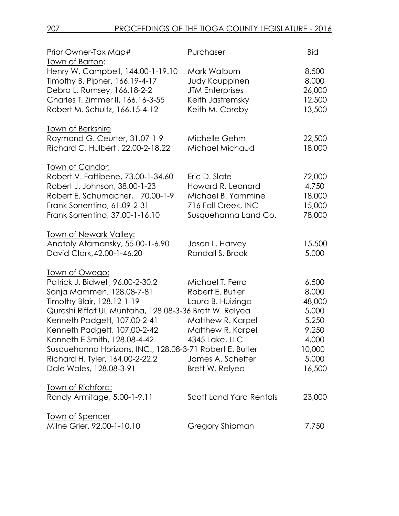| Prior Owner-Tax Map#                                                                                                                                                                                                                                                                                                                                                                                     | Purchaser                                                                                                                                                     | <u>Bid</u>                                                                                |
|----------------------------------------------------------------------------------------------------------------------------------------------------------------------------------------------------------------------------------------------------------------------------------------------------------------------------------------------------------------------------------------------------------|---------------------------------------------------------------------------------------------------------------------------------------------------------------|-------------------------------------------------------------------------------------------|
| Town of Barton:<br>Henry W. Campbell, 144.00-1-19.10<br>Timothy B. Pipher, 166.19-4-17<br>Debra L. Rumsey, 166.18-2-2<br>Charles T. Zimmer II, 166.16-3-55<br>Robert M. Schultz, 166.15-4-12                                                                                                                                                                                                             | Mark Walburn<br><b>Judy Kauppinen</b><br><b>JTM Enterprises</b><br>Keith Jastremsky<br>Keith M. Coreby                                                        | 8,500<br>8,000<br>26,000<br>12,500<br>13,500                                              |
| Town of Berkshire                                                                                                                                                                                                                                                                                                                                                                                        |                                                                                                                                                               |                                                                                           |
| Raymond G. Ceurter, 31.07-1-9<br>Richard C. Hulbert, 22.00-2-18.22                                                                                                                                                                                                                                                                                                                                       | Michelle Gehm<br>Michael Michaud                                                                                                                              | 22,500<br>18,000                                                                          |
| <u>Town of Candor:</u><br>Robert V. Fattibene, 73.00-1-34.60                                                                                                                                                                                                                                                                                                                                             | Eric D. Slate                                                                                                                                                 | 72,000                                                                                    |
| Robert J. Johnson, 38.00-1-23<br>Robert E. Schumacher, 70.00-1-9<br>Frank Sorrentino, 61.09-2-31<br>Frank Sorrentino, 37.00-1-16.10                                                                                                                                                                                                                                                                      | Howard R. Leonard<br>Michael B. Yammine<br>716 Fall Creek, INC<br>Susquehanna Land Co.                                                                        | 4,750<br>18,000<br>15,000<br>78,000                                                       |
| <u>Town of Newark Valley:</u><br>Anatoly Atamansky, 55.00-1-6.90<br>David Clark, 42.00-1-46.20                                                                                                                                                                                                                                                                                                           | Jason L. Harvey<br>Randall S. Brook                                                                                                                           | 15,500<br>5,000                                                                           |
| <u>Town of Owego:</u><br>Patrick J. Bidwell, 96.00-2-30.2<br>Sonja Mammen, 128.08-7-81<br>Timothy Blair, 128.12-1-19<br>Qureshi Riffat UL Muntaha, 128.08-3-36 Brett W. Relyea<br>Kenneth Padgett, 107.00-2-41<br>Kenneth Padgett, 107.00-2-42<br>Kenneth E Smith, 128.08-4-42<br>Susquehanna Horizons, INC., 128.08-3-71 Robert E. Butler<br>Richard H. Tyler, 164.00-2-22.2<br>Dale Wales, 128.08-3-91 | Michael T. Ferro<br>Robert E. Butler<br>Laura B. Huizinga<br>Matthew R. Karpel<br>Matthew R. Karpel<br>4345 Lake, LLC<br>James A. Scheffer<br>Brett W. Relyea | 6,500<br>8,000<br>48,000<br>5,000<br>5,250<br>9,250<br>4,000<br>10,000<br>5,000<br>16,500 |
| <u>Town of Richford:</u><br>Randy Armitage, 5.00-1-9.11                                                                                                                                                                                                                                                                                                                                                  | <b>Scott Land Yard Rentals</b>                                                                                                                                | 23,000                                                                                    |
| <u>Town of Spencer</u><br>Milne Grier, 92.00-1-10.10                                                                                                                                                                                                                                                                                                                                                     | Gregory Shipman                                                                                                                                               | 7,750                                                                                     |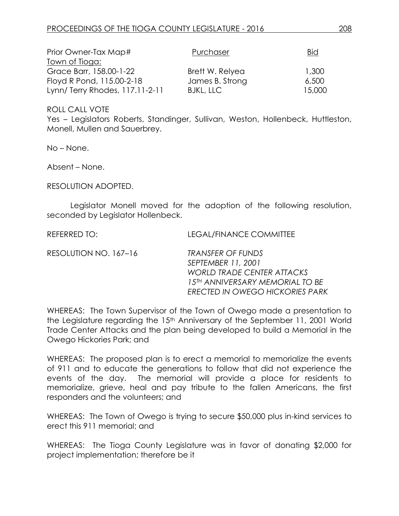| Prior Owner-Tax Map#            | Purchaser        | <b>Bid</b> |
|---------------------------------|------------------|------------|
| Town of Tioga:                  |                  |            |
| Grace Barr, 158.00-1-22         | Brett W. Relyea  | 1,300      |
| Floyd R Pond, 115.00-2-18       | James B. Strong  | 6,500      |
| Lynn/ Terry Rhodes, 117.11-2-11 | <b>BJKL, LLC</b> | 15,000     |

Yes – Legislators Roberts, Standinger, Sullivan, Weston, Hollenbeck, Huttleston, Monell, Mullen and Sauerbrey.

No – None.

Absent – None.

RESOLUTION ADOPTED.

Legislator Monell moved for the adoption of the following resolution, seconded by Legislator Hollenbeck.

REFERRED TO: LEGAL/FINANCE COMMITTEE

RESOLUTION NO. 167–16 *TRANSFER OF FUNDS*

*SEPTEMBER 11, 2001 WORLD TRADE CENTER ATTACKS 15TH ANNIVERSARY MEMORIAL TO BE ERECTED IN OWEGO HICKORIES PARK*

WHEREAS: The Town Supervisor of the Town of Owego made a presentation to the Legislature regarding the 15th Anniversary of the September 11, 2001 World Trade Center Attacks and the plan being developed to build a Memorial in the Owego Hickories Park; and

WHEREAS: The proposed plan is to erect a memorial to memorialize the events of 911 and to educate the generations to follow that did not experience the events of the day. The memorial will provide a place for residents to memorialize, grieve, heal and pay tribute to the fallen Americans, the first responders and the volunteers; and

WHEREAS: The Town of Owego is trying to secure \$50,000 plus in-kind services to erect this 911 memorial; and

WHEREAS: The Tioga County Legislature was in favor of donating \$2,000 for project implementation; therefore be it